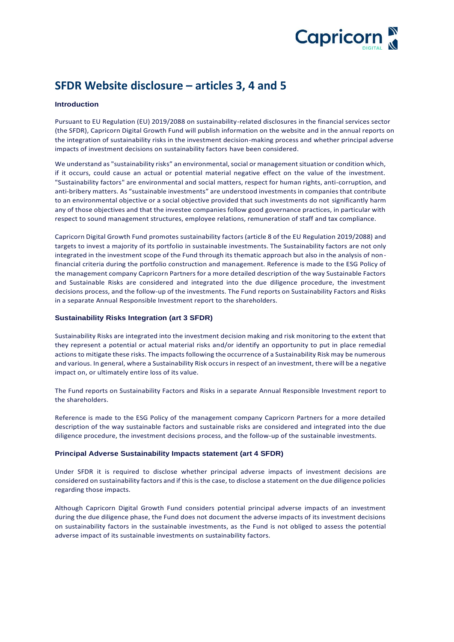

# **SFDR Website disclosure – articles 3, 4 and 5**

### **Introduction**

Pursuant to EU Regulation (EU) 2019/2088 on sustainability-related disclosures in the financial services sector (the SFDR), Capricorn Digital Growth Fund will publish information on the website and in the annual reports on the integration of sustainability risks in the investment decision-making process and whether principal adverse impacts of investment decisions on sustainability factors have been considered.

We understand as "sustainability risks" an environmental, social or management situation or condition which, if it occurs, could cause an actual or potential material negative effect on the value of the investment. "Sustainability factors" are environmental and social matters, respect for human rights, anti‐corruption, and anti-bribery matters. As "sustainable investments" are understood investments in companies that contribute to an environmental objective or a social objective provided that such investments do not significantly harm any of those objectives and that the investee companies follow good governance practices, in particular with respect to sound management structures, employee relations, remuneration of staff and tax compliance.

Capricorn Digital Growth Fund promotes sustainability factors (article 8 of the EU Regulation 2019/2088) and targets to invest a majority of its portfolio in sustainable investments. The Sustainability factors are not only integrated in the investment scope of the Fund through its thematic approach but also in the analysis of nonfinancial criteria during the portfolio construction and management. Reference is made to the ESG Policy of the management company Capricorn Partners for a more detailed description of the way Sustainable Factors and Sustainable Risks are considered and integrated into the due diligence procedure, the investment decisions process, and the follow-up of the investments. The Fund reports on Sustainability Factors and Risks in a separate Annual Responsible Investment report to the shareholders.

#### **Sustainability Risks Integration (art 3 SFDR)**

Sustainability Risks are integrated into the investment decision making and risk monitoring to the extent that they represent a potential or actual material risks and/or identify an opportunity to put in place remedial actions to mitigate these risks. The impacts following the occurrence of a Sustainability Risk may be numerous and various. In general, where a Sustainability Risk occurs in respect of an investment, there will be a negative impact on, or ultimately entire loss of its value.

The Fund reports on Sustainability Factors and Risks in a separate Annual Responsible Investment report to the shareholders.

Reference is made to the ESG Policy of the management company Capricorn Partners for a more detailed description of the way sustainable factors and sustainable risks are considered and integrated into the due diligence procedure, the investment decisions process, and the follow-up of the sustainable investments.

#### **Principal Adverse Sustainability Impacts statement (art 4 SFDR)**

Under SFDR it is required to disclose whether principal adverse impacts of investment decisions are considered on sustainability factors and if this is the case, to disclose a statement on the due diligence policies regarding those impacts.

Although Capricorn Digital Growth Fund considers potential principal adverse impacts of an investment during the due diligence phase, the Fund does not document the adverse impacts of its investment decisions on sustainability factors in the sustainable investments, as the Fund is not obliged to assess the potential adverse impact of its sustainable investments on sustainability factors.